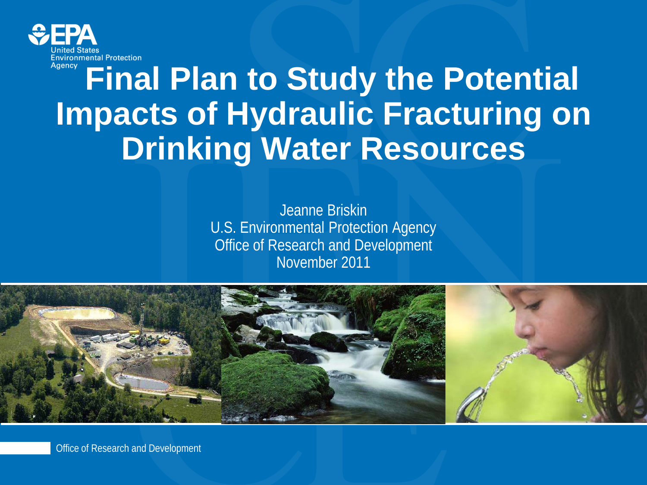

### **Final Plan to Study the Potential Impacts of Hydraulic Fracturing on Drinking Water Resources**

Jeanne Briskin U.S. Environmental Protection Agency Office of Research and Development November 2011



Office of Research and Development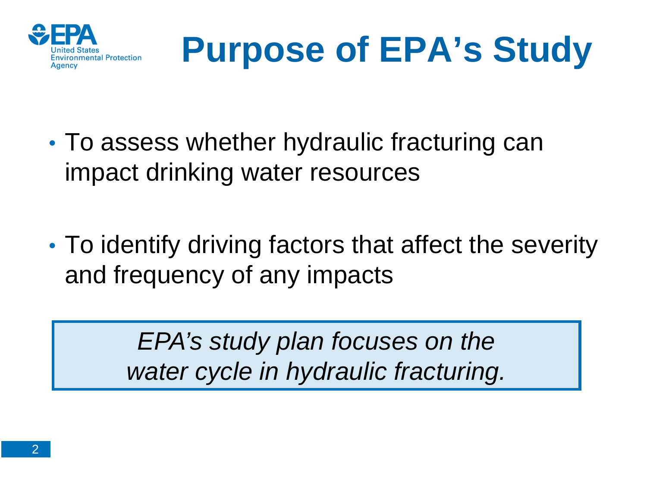



- To assess whether hydraulic fracturing can impact drinking water resources
- To identify driving factors that affect the severity and frequency of any impacts

*EPA's study plan focuses on the water cycle in hydraulic fracturing.*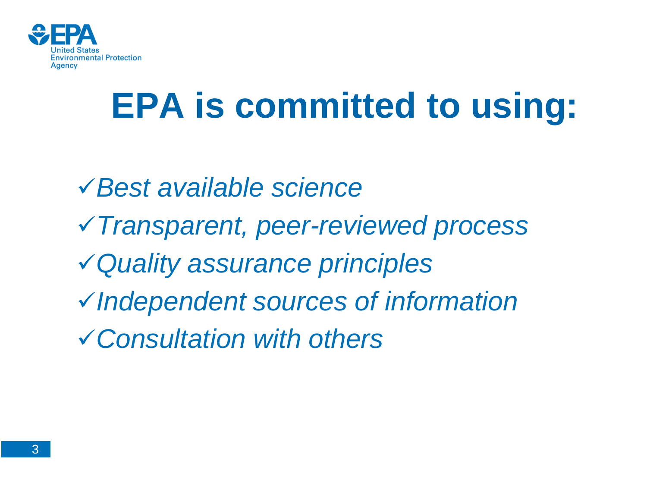

### **EPA is committed to using:**

*Best available science Transparent, peer-reviewed process Quality assurance principles Independent sources of information Consultation with others*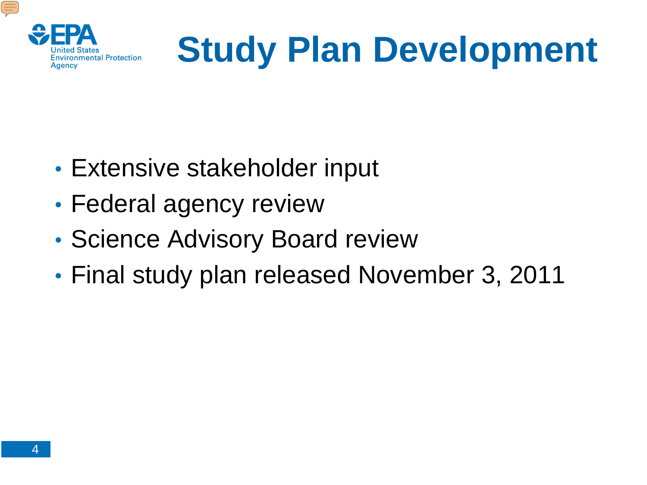

# **Study Plan Development**

- Extensive stakeholder input
- Federal agency review
- Science Advisory Board review
- Final study plan released November 3, 2011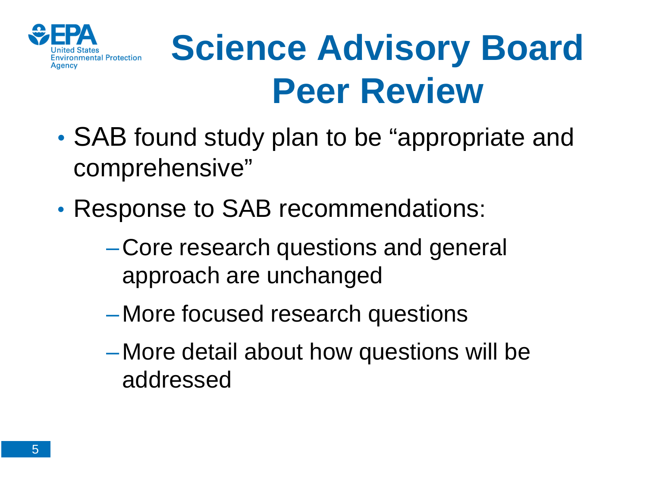

### **Science Advisory Board Peer Review**

- SAB found study plan to be "appropriate and comprehensive"
- Response to SAB recommendations:
	- –Core research questions and general approach are unchanged
	- –More focused research questions
	- –More detail about how questions will be addressed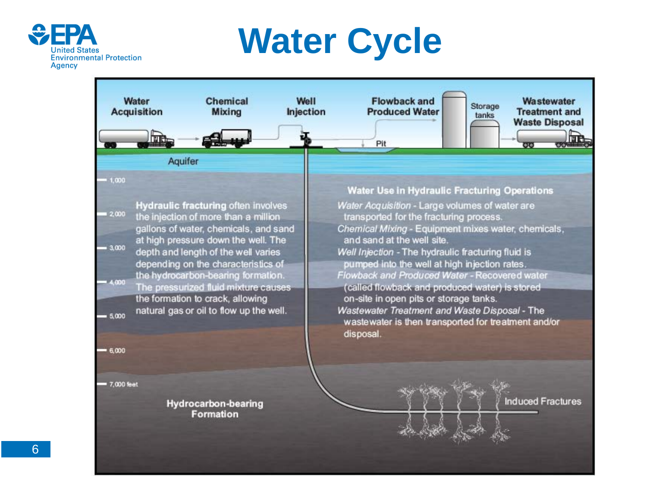

### **Water Cycle**

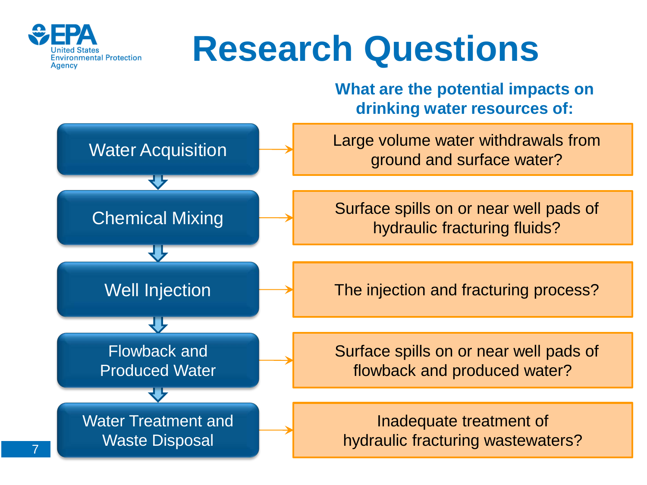

7

### **Research Questions**

**What are the potential impacts on drinking water resources of:**

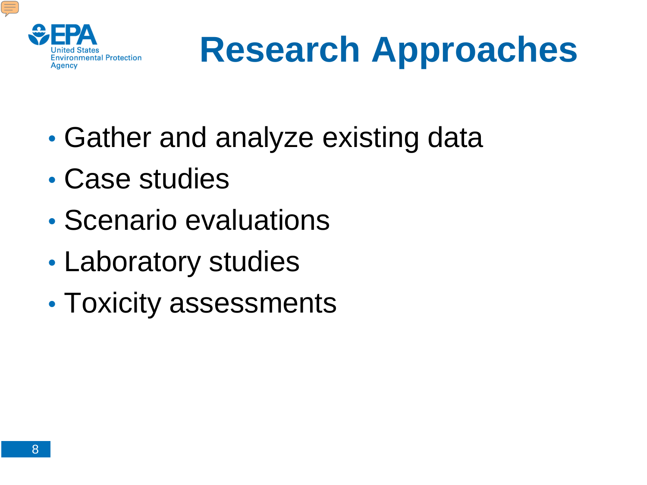

### **Research Approaches**

- Gather and analyze existing data
- Case studies
- Scenario evaluations
- Laboratory studies
- Toxicity assessments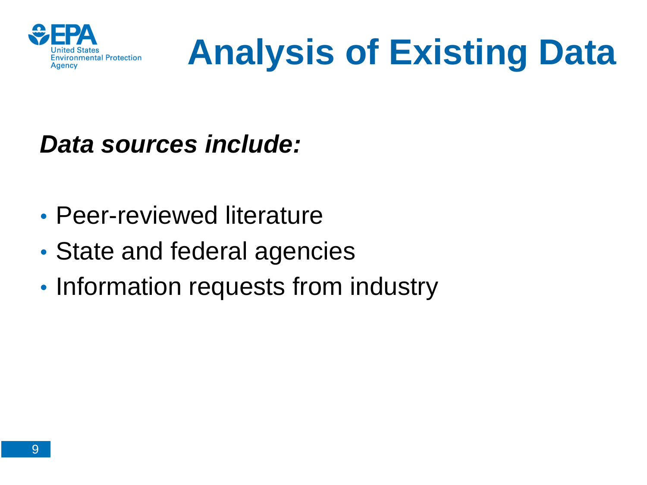

### **Analysis of Existing Data**

#### *Data sources include:*

- Peer-reviewed literature
- State and federal agencies
- Information requests from industry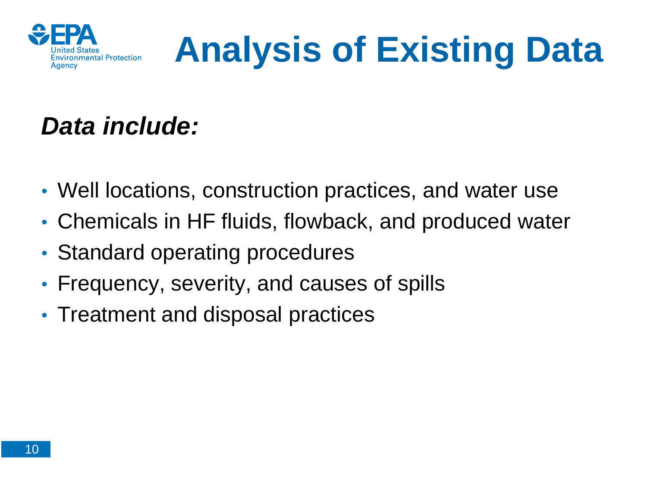

## **Analysis of Existing Data**

### *Data include:*

- Well locations, construction practices, and water use
- Chemicals in HF fluids, flowback, and produced water
- Standard operating procedures
- Frequency, severity, and causes of spills
- Treatment and disposal practices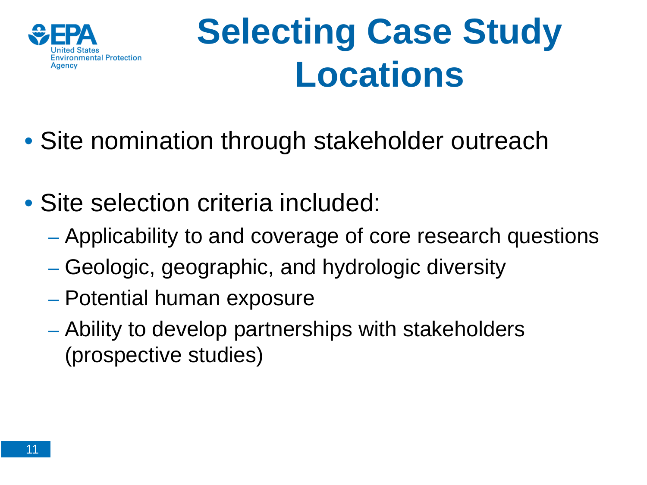

### **Selecting Case Study Locations**

- Site nomination through stakeholder outreach
- Site selection criteria included:
	- Applicability to and coverage of core research questions
	- Geologic, geographic, and hydrologic diversity
	- Potential human exposure
	- Ability to develop partnerships with stakeholders (prospective studies)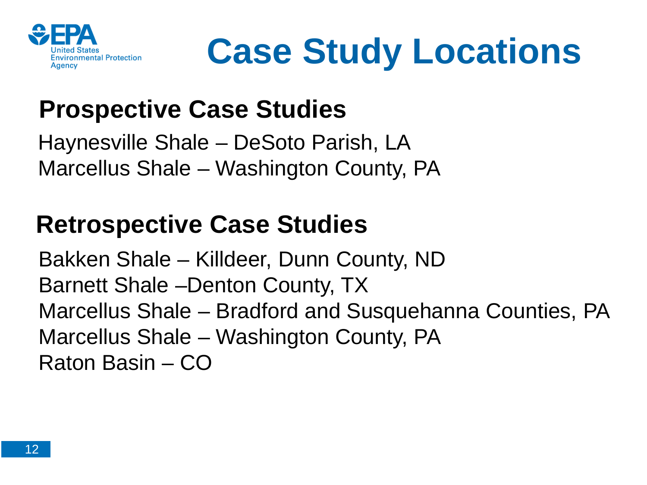

**Case Study Locations**

### **Prospective Case Studies**

Haynesville Shale – DeSoto Parish, LA Marcellus Shale – Washington County, PA

#### **Retrospective Case Studies**

Bakken Shale – Killdeer, Dunn County, ND Barnett Shale –Denton County, TX Marcellus Shale – Bradford and Susquehanna Counties, PA Marcellus Shale – Washington County, PA Raton Basin – CO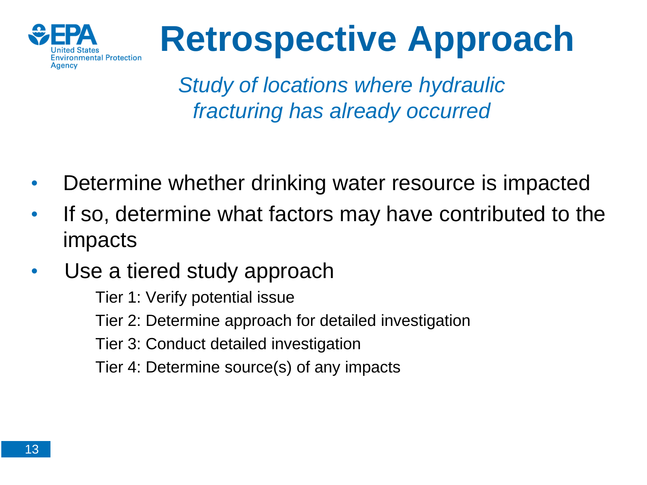

### **Retrospective Approach**

*Study of locations where hydraulic fracturing has already occurred*

- Determine whether drinking water resource is impacted
- If so, determine what factors may have contributed to the impacts
- Use a tiered study approach
	- Tier 1: Verify potential issue
	- Tier 2: Determine approach for detailed investigation
	- Tier 3: Conduct detailed investigation
	- Tier 4: Determine source(s) of any impacts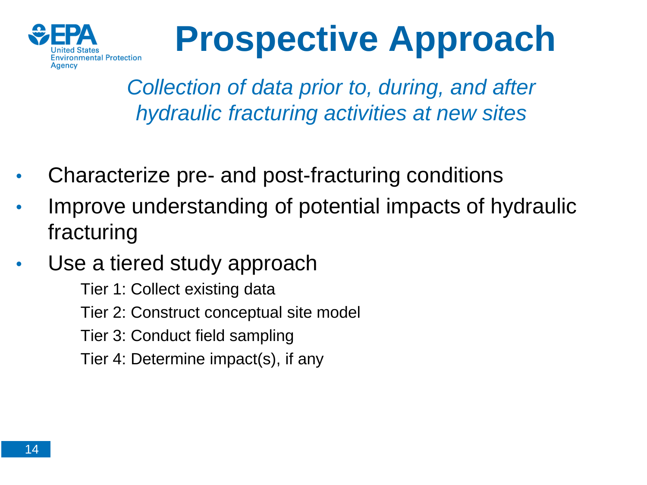

### **Prospective Approach**

*Collection of data prior to, during, and after hydraulic fracturing activities at new sites*

- Characterize pre- and post-fracturing conditions
- Improve understanding of potential impacts of hydraulic fracturing
- Use a tiered study approach

Tier 1: Collect existing data

Tier 2: Construct conceptual site model

Tier 3: Conduct field sampling

Tier 4: Determine impact(s), if any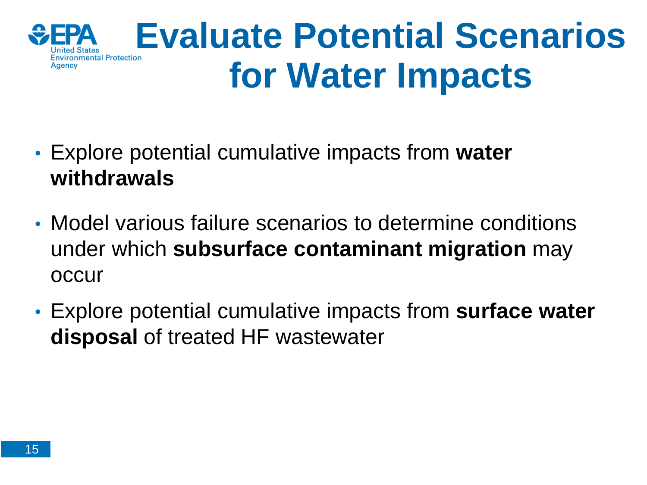

### **Evaluate Potential Scenarios for Water Impacts**

- Explore potential cumulative impacts from **water withdrawals**
- Model various failure scenarios to determine conditions under which **subsurface contaminant migration** may occur
- Explore potential cumulative impacts from **surface water disposal** of treated HF wastewater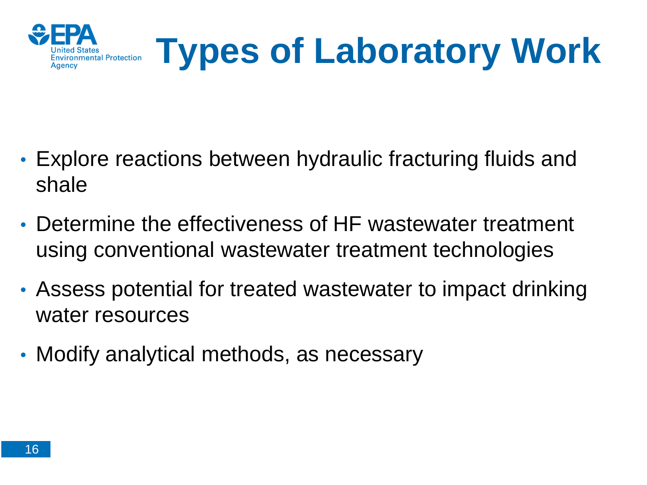

- Explore reactions between hydraulic fracturing fluids and shale
- Determine the effectiveness of HF wastewater treatment using conventional wastewater treatment technologies
- Assess potential for treated wastewater to impact drinking water resources
- Modify analytical methods, as necessary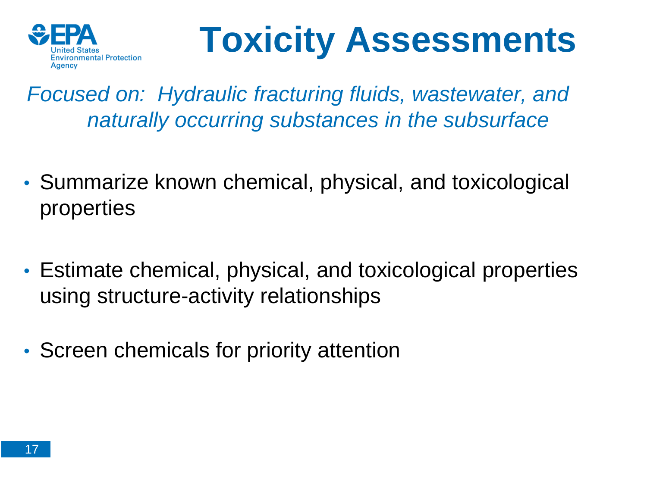

### **Toxicity Assessments**

*Focused on: Hydraulic fracturing fluids, wastewater, and naturally occurring substances in the subsurface*

- Summarize known chemical, physical, and toxicological properties
- Estimate chemical, physical, and toxicological properties using structure-activity relationships
- Screen chemicals for priority attention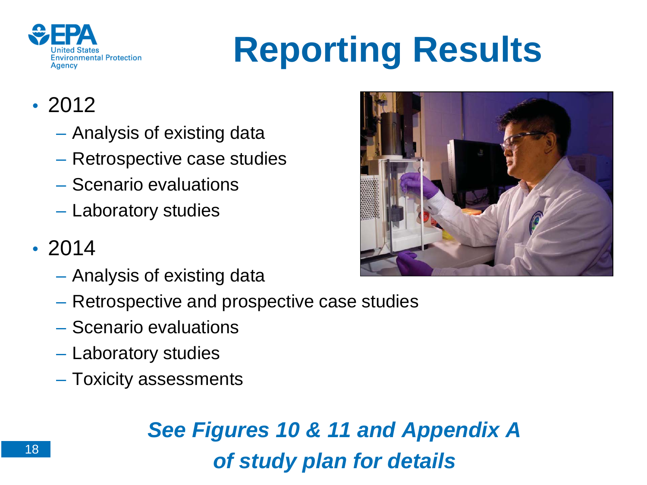

# **Reporting Results**

#### • 2012

- Analysis of existing data
- Retrospective case studies
- Scenario evaluations
- Laboratory studies

#### • 2014

- Analysis of existing data
- Retrospective and prospective case studies
- Scenario evaluations
- Laboratory studies
- Toxicity assessments

#### *See Figures 10 & 11 and Appendix A of study plan for details*